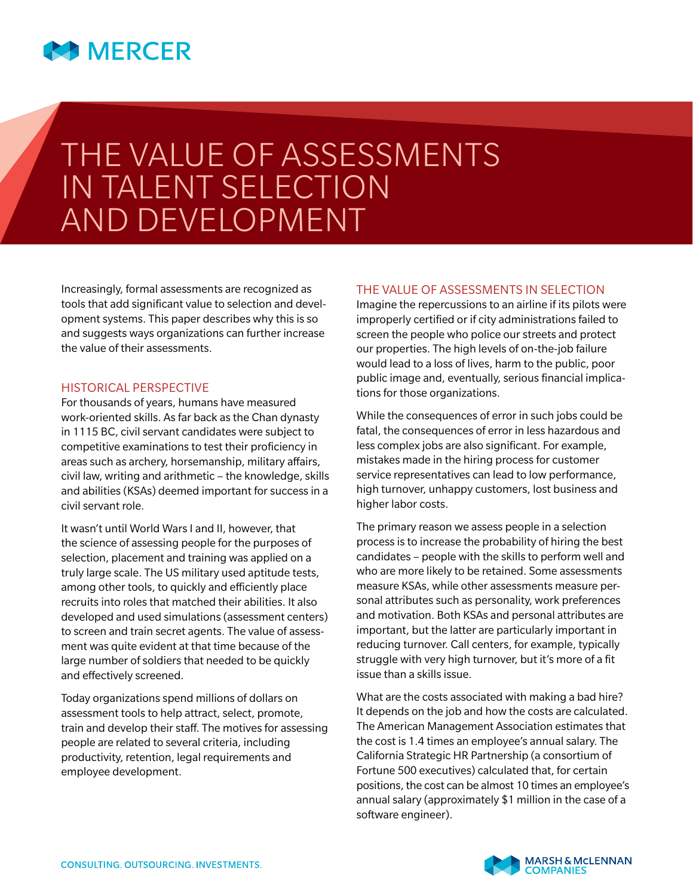

# THE VALUE OF ASSESSMENTS IN TALENT SELECTION AND DEVELOPMENT

Increasingly, formal assessments are recognized as tools that add significant value to selection and development systems. This paper describes why this is so and suggests ways organizations can further increase the value of their assessments.

#### HISTORICAL PERSPECTIVE

For thousands of years, humans have measured work-oriented skills. As far back as the Chan dynasty in 1115 BC, civil servant candidates were subject to competitive examinations to test their proficiency in areas such as archery, horsemanship, military affairs, civil law, writing and arithmetic – the knowledge, skills and abilities (KSAs) deemed important for success in a civil servant role.

It wasn't until World Wars I and II, however, that the science of assessing people for the purposes of selection, placement and training was applied on a truly large scale. The US military used aptitude tests, among other tools, to quickly and efficiently place recruits into roles that matched their abilities. It also developed and used simulations (assessment centers) to screen and train secret agents. The value of assessment was quite evident at that time because of the large number of soldiers that needed to be quickly and effectively screened.

Today organizations spend millions of dollars on assessment tools to help attract, select, promote, train and develop their staff. The motives for assessing people are related to several criteria, including productivity, retention, legal requirements and employee development.

#### THE VALUE OF ASSESSMENTS IN SELECTION

Imagine the repercussions to an airline if its pilots were improperly certified or if city administrations failed to screen the people who police our streets and protect our properties. The high levels of on-the-job failure would lead to a loss of lives, harm to the public, poor public image and, eventually, serious financial implications for those organizations.

While the consequences of error in such jobs could be fatal, the consequences of error in less hazardous and less complex jobs are also significant. For example, mistakes made in the hiring process for customer service representatives can lead to low performance, high turnover, unhappy customers, lost business and higher labor costs.

The primary reason we assess people in a selection process is to increase the probability of hiring the best candidates – people with the skills to perform well and who are more likely to be retained. Some assessments measure KSAs, while other assessments measure personal attributes such as personality, work preferences and motivation. Both KSAs and personal attributes are important, but the latter are particularly important in reducing turnover. Call centers, for example, typically struggle with very high turnover, but it's more of a fit issue than a skills issue.

What are the costs associated with making a bad hire? It depends on the job and how the costs are calculated. The American Management Association estimates that the cost is 1.4 times an employee's annual salary. The California Strategic HR Partnership (a consortium of Fortune 500 executives) calculated that, for certain positions, the cost can be almost 10 times an employee's annual salary (approximately \$1 million in the case of a software engineer).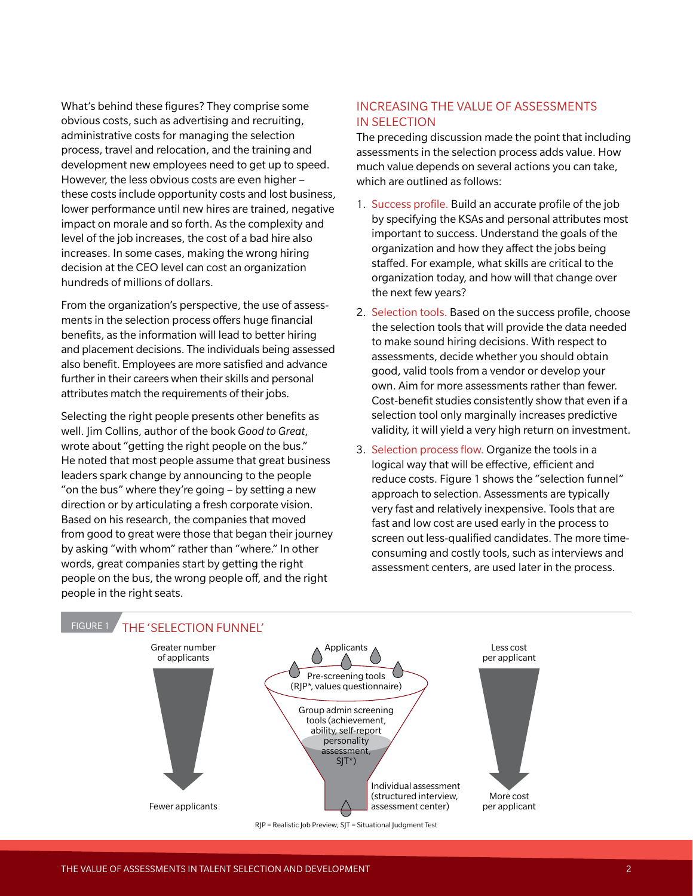What's behind these figures? They comprise some obvious costs, such as advertising and recruiting, administrative costs for managing the selection process, travel and relocation, and the training and development new employees need to get up to speed. However, the less obvious costs are even higher – these costs include opportunity costs and lost business, lower performance until new hires are trained, negative impact on morale and so forth. As the complexity and level of the job increases, the cost of a bad hire also increases. In some cases, making the wrong hiring decision at the CEO level can cost an organization hundreds of millions of dollars.

From the organization's perspective, the use of assessments in the selection process offers huge financial benefits, as the information will lead to better hiring and placement decisions. The individuals being assessed also benefit. Employees are more satisfied and advance further in their careers when their skills and personal attributes match the requirements of their jobs.

Selecting the right people presents other benefits as well. Jim Collins, author of the book *Good to Great*, wrote about "getting the right people on the bus." He noted that most people assume that great business leaders spark change by announcing to the people "on the bus" where they're going – by setting a new direction or by articulating a fresh corporate vision. Based on his research, the companies that moved from good to great were those that began their journey by asking "with whom" rather than "where." In other words, great companies start by getting the right people on the bus, the wrong people off, and the right people in the right seats.

# INCREASING THE VALUE OF ASSESSMENTS IN SELECTION

The preceding discussion made the point that including assessments in the selection process adds value. How much value depends on several actions you can take, which are outlined as follows:

- 1. Success profile. Build an accurate profile of the job by specifying the KSAs and personal attributes most important to success. Understand the goals of the organization and how they affect the jobs being staffed. For example, what skills are critical to the organization today, and how will that change over the next few years?
- 2. Selection tools. Based on the success profile, choose the selection tools that will provide the data needed to make sound hiring decisions. With respect to assessments, decide whether you should obtain good, valid tools from a vendor or develop your own. Aim for more assessments rather than fewer. Cost-benefit studies consistently show that even if a selection tool only marginally increases predictive validity, it will yield a very high return on investment.
- 3. Selection process flow. Organize the tools in a logical way that will be effective, efficient and reduce costs. Figure 1 shows the "selection funnel" approach to selection. Assessments are typically very fast and relatively inexpensive. Tools that are fast and low cost are used early in the process to screen out less-qualified candidates. The more timeconsuming and costly tools, such as interviews and assessment centers, are used later in the process.

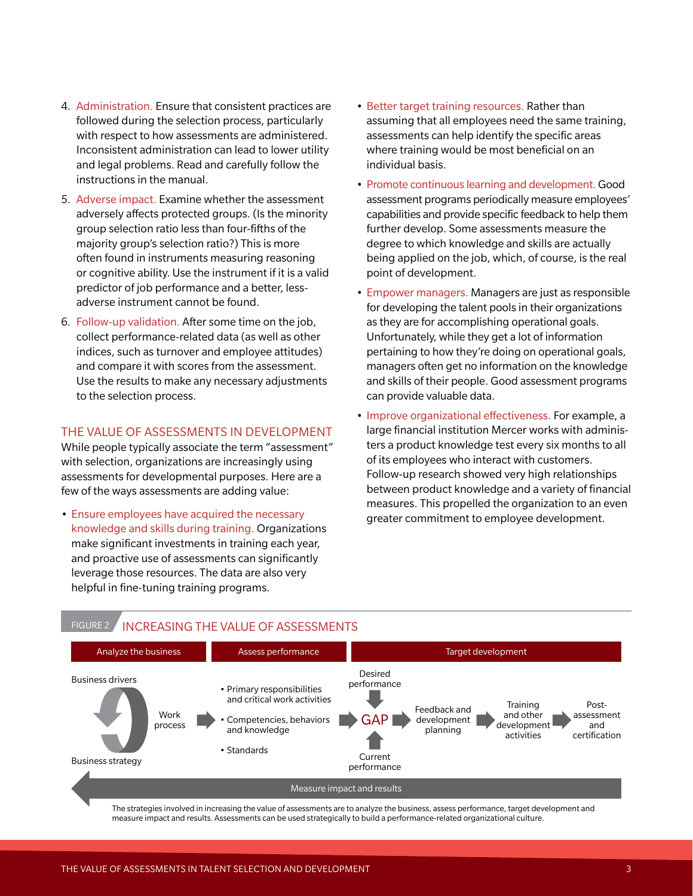- 4. Administration. Ensure that consistent practices are followed during the selection process, particularly with respect to how assessments are administered. Inconsistent administration can lead to lower utility and legal problems. Read and carefully follow the instructions in the manual.
- 5. Adverse impact. Examine whether the assessment adversely affects protected groups. (Is the minority group selection ratio less than four-fifths of the majority group's selection ratio?) This is more often found in instruments measuring reasoning or cognitive ability. Use the instrument if it is a valid predictor of job performance and a better, lessadverse instrument cannot be found.
- 6. Follow-up validation. After some time on the job, collect performance-related data (as well as other indices, such as turnover and employee attitudes) and compare it with scores from the assessment. Use the results to make any necessary adjustments to the selection process.

## THE VALUE OF ASSESSMENTS IN DEVELOPMENT

While people typically associate the term "assessment" with selection, organizations are increasingly using assessments for developmental purposes. Here are a few of the ways assessments are adding value:

• Ensure employees have acquired the necessary knowledge and skills during training. Organizations make significant investments in training each year, and proactive use of assessments can significantly leverage those resources. The data are also very helpful in fine-tuning training programs.

FIGURE 2 **INCREASING THE VALUE OF ASSESSMENTS** 

- Better target training resources. Rather than assuming that all employees need the same training, assessments can help identify the specific areas where training would be most beneficial on an individual basis.
- Promote continuous learning and development. Good assessment programs periodically measure employees' capabilities and provide specific feedback to help them further develop. Some assessments measure the degree to which knowledge and skills are actually being applied on the job, which, of course, is the real point of development.
- Empower managers. Managers are just as responsible for developing the talent pools in their organizations as they are for accomplishing operational goals. Unfortunately, while they get a lot of information pertaining to how they're doing on operational goals, managers often get no information on the knowledge and skills of their people. Good assessment programs can provide valuable data.
- Improve organizational effectiveness. For example, a large financial institution Mercer works with administers a product knowledge test every six months to all of its employees who interact with customers. Follow-up research showed very high relationships between product knowledge and a variety of financial measures. This propelled the organization to an even greater commitment to employee development.



The strategies involved in increasing the value of assessments are to analyze the business, assess performance, target development and measure impact and results. Assessments can be used strategically to build a performance-related organizational culture.